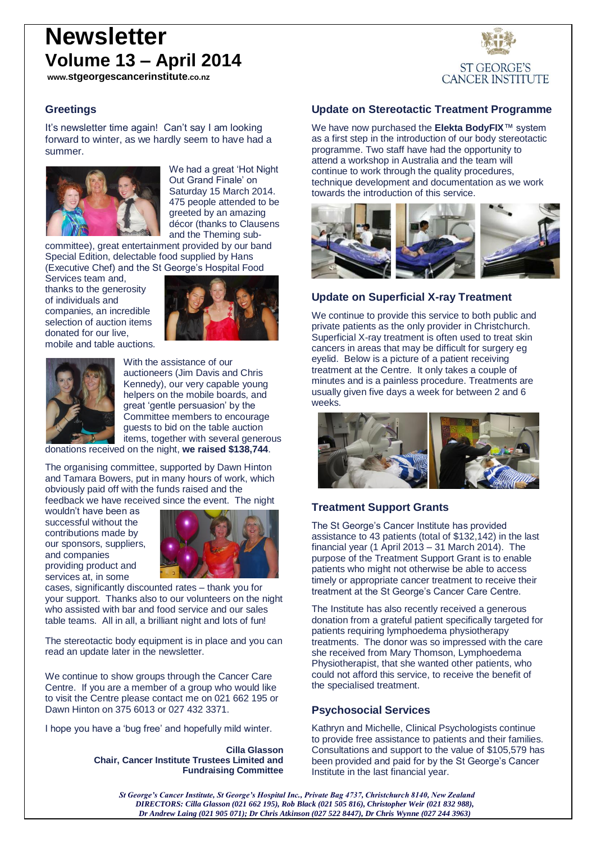# **Newsletter Volume 13 – April 2014**

**www.stgeorgescancerinstitute.co.nz**

#### **Greetings**

It's newsletter time again! Can't say I am looking forward to winter, as we hardly seem to have had a summer.



We had a great 'Hot Night Out Grand Finale' on Saturday 15 March 2014. 475 people attended to be greeted by an amazing décor (thanks to Clausens and the Theming sub-

committee), great entertainment provided by our band Special Edition, delectable food supplied by Hans (Executive Chef) and the St George's Hospital Food

Services team and, thanks to the generosity of individuals and companies, an incredible selection of auction items donated for our live, mobile and table auctions.





With the assistance of our auctioneers (Jim Davis and Chris Kennedy), our very capable young helpers on the mobile boards, and great 'gentle persuasion' by the Committee members to encourage guests to bid on the table auction items, together with several generous

donations received on the night, **we raised \$138,744**.

The organising committee, supported by Dawn Hinton and Tamara Bowers, put in many hours of work, which obviously paid off with the funds raised and the feedback we have received since the event. The night

wouldn't have been as successful without the contributions made by our sponsors, suppliers, and companies providing product and services at, in some



cases, significantly discounted rates – thank you for your support. Thanks also to our volunteers on the night who assisted with bar and food service and our sales table teams. All in all, a brilliant night and lots of fun!

The stereotactic body equipment is in place and you can read an update later in the newsletter.

We continue to show groups through the Cancer Care Centre. If you are a member of a group who would like to visit the Centre please contact me on 021 662 195 or Dawn Hinton on 375 6013 or 027 432 3371.

I hope you have a 'bug free' and hopefully mild winter.

**Cilla Glasson Chair, Cancer Institute Trustees Limited and Fundraising Committee**

## **Update on Stereotactic Treatment Programme**

**ST GEORGE'S CANCER INSTITUTE** 

We have now purchased the **Elekta BodyFIX**™ system as a first step in the introduction of our body stereotactic programme. Two staff have had the opportunity to attend a workshop in Australia and the team will continue to work through the quality procedures, technique development and documentation as we work towards the introduction of this service.



## **Update on Superficial X-ray Treatment**

We continue to provide this service to both public and private patients as the only provider in Christchurch. Superficial X-ray treatment is often used to treat skin cancers in areas that may be difficult for surgery eg eyelid. Below is a picture of a patient receiving treatment at the Centre. It only takes a couple of minutes and is a painless procedure. Treatments are usually given five days a week for between 2 and 6 weeks.



## **Treatment Support Grants**

The St George's Cancer Institute has provided assistance to 43 patients (total of \$132,142) in the last financial year (1 April 2013 – 31 March 2014). The purpose of the Treatment Support Grant is to enable patients who might not otherwise be able to access timely or appropriate cancer treatment to receive their treatment at the St George's Cancer Care Centre.

The Institute has also recently received a generous donation from a grateful patient specifically targeted for patients requiring lymphoedema physiotherapy treatments. The donor was so impressed with the care she received from Mary Thomson, Lymphoedema Physiotherapist, that she wanted other patients, who could not afford this service, to receive the benefit of the specialised treatment.

#### **Psychosocial Services**

Kathryn and Michelle, Clinical Psychologists continue to provide free assistance to patients and their families. Consultations and support to the value of \$105,579 has been provided and paid for by the St George's Cancer Institute in the last financial year.

*St George's Cancer Institute, St George's Hospital Inc., Private Bag 4737, Christchurch 8140, New Zealand DIRECTORS: Cilla Glasson (021 662 195), Rob Black (021 505 816), Christopher Weir (021 832 988), Dr Andrew Laing (021 905 071); Dr Chris Atkinson (027 522 8447), Dr Chris Wynne (027 244 3963)*